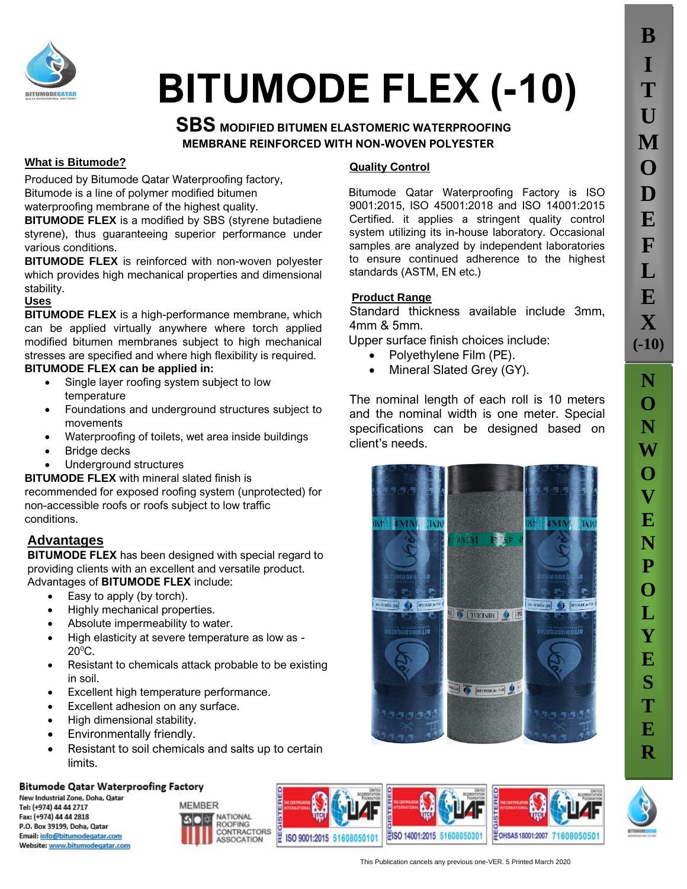

# **BITUMODE FLEX (-10)**

# **SBS MODIFIED BITUMEN ELASTOMERIC WATERPROOFING MEMBRANE REINFORCED WITH NON-WOVEN POLYESTER**

#### **What is Bitumode?**

Produced by Bitumode Qatar Waterproofing factory, Bitumode is a line of polymer modified bitumen waterproofing membrane of the highest quality.

**BITUMODE FLEX** is a modified by SBS (styrene butadiene styrene), thus guaranteeing superior performance under various conditions.

**BITUMODE FLEX** is reinforced with non-woven polyester which provides high mechanical properties and dimensional stability.

### **Uses**

**BITUMODE FLEX** is a high-performance membrane, which can be applied virtually anywhere where torch applied modified bitumen membranes subject to high mechanical stresses are specified and where high flexibility is required. **BITUMODE FLEX can be applied in:**

- Single layer roofing system subject to low temperature
- Foundations and underground structures subject to movements
- Waterproofing of toilets, wet area inside buildings
- Bridge decks
- Underground structures

#### **BITUMODE FLEX** with mineral slated finish is

recommended for exposed roofing system (unprotected) for non-accessible roofs or roofs subject to low traffic conditions.

## **SA Advantages**

**BITUMODE FLEX** has been designed with special regard to providing clients with an excellent and versatile product. Advantages of **BITUMODE FLEX** include:

- Easy to apply (by torch).
- Highly mechanical properties.
- Absolute impermeability to water.
- High elasticity at severe temperature as low as  $20^{\circ}$ C.
- Resistant to chemicals attack probable to be existing in soil.
- Excellent high temperature performance.
- Excellent adhesion on any surface.
- High dimensional stability.
- Environmentally friendly.
- Resistant to soil chemicals and salts up to certain limits.

#### **Bitumode Qatar Waterproofing Factory**

New Industrial Zone, Doha, Qatar Tel: (+974) 44 44 2717 Fax: (+974) 44 44 2818 P.O. Box 39199, Doha, Qatar Email: info@bitumodegatar.com Website: www.bitumodegatar.com



#### **Quality Control**

Bitumode Qatar Waterproofing Factory is ISO 9001:2015, ISO 45001:2018 and ISO 14001:2015 Certified. it applies a stringent quality control system utilizing its in-house laboratory. Occasional samples are analyzed by independent laboratories to ensure continued adherence to the highest standards (ASTM, EN etc.)

### **Product Range**

Standard thickness available include 3mm, 4mm & 5mm.

Upper surface finish choices include:

- Polyethylene Film (PE).
- Mineral Slated Grey (GY).

The nominal length of each roll is 10 meters and the nominal width is one meter. Special specifications can be designed based on client's needs.



**N O**

**B**

**I**

**T**

**U**

**M**

**O**

**D**

**E**

**F**

**L**

**E**

**X**

**(-10)**